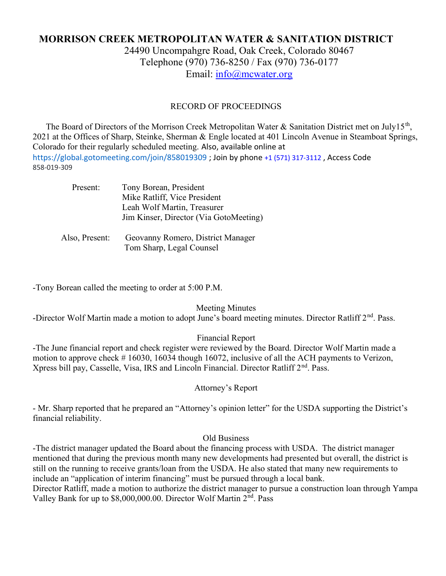# MORRISON CREEK METROPOLITAN WATER & SANITATION DISTRICT

24490 Uncompahgre Road, Oak Creek, Colorado 80467 Telephone (970) 736-8250 / Fax (970) 736-0177 Email: info@mcwater.org

#### RECORD OF PROCEEDINGS

The Board of Directors of the Morrison Creek Metropolitan Water & Sanitation District met on July15<sup>th</sup>, 2021 at the Offices of Sharp, Steinke, Sherman & Engle located at 401 Lincoln Avenue in Steamboat Springs, Colorado for their regularly scheduled meeting. Also, available online at https://global.gotomeeting.com/join/858019309 ; Join by phone +1 (571) 317-3112 , Access Code 858-019-309

| Present:       | Tony Borean, President<br>Mike Ratliff, Vice President<br>Leah Wolf Martin, Treasurer<br>Jim Kinser, Director (Via GotoMeeting) |
|----------------|---------------------------------------------------------------------------------------------------------------------------------|
| Also, Present: | Geovanny Romero, District Manager<br>Tom Sharp, Legal Counsel                                                                   |

-Tony Borean called the meeting to order at 5:00 P.M.

Meeting Minutes

-Director Wolf Martin made a motion to adopt June's board meeting minutes. Director Ratliff 2<sup>nd</sup>. Pass.

Financial Report

-The June financial report and check register were reviewed by the Board. Director Wolf Martin made a motion to approve check # 16030, 16034 though 16072, inclusive of all the ACH payments to Verizon, Xpress bill pay, Casselle, Visa, IRS and Lincoln Financial. Director Ratliff 2<sup>nd</sup>. Pass.

Attorney's Report

- Mr. Sharp reported that he prepared an "Attorney's opinion letter" for the USDA supporting the District's financial reliability.

#### Old Business

-The district manager updated the Board about the financing process with USDA. The district manager mentioned that during the previous month many new developments had presented but overall, the district is still on the running to receive grants/loan from the USDA. He also stated that many new requirements to include an "application of interim financing" must be pursued through a local bank.

Director Ratliff, made a motion to authorize the district manager to pursue a construction loan through Yampa Valley Bank for up to \$8,000,000.00. Director Wolf Martin 2nd. Pass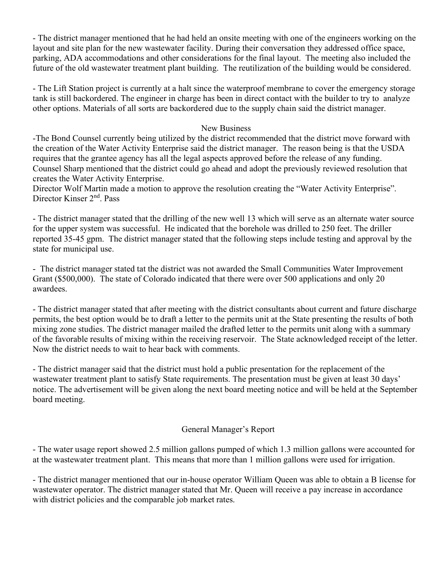- The district manager mentioned that he had held an onsite meeting with one of the engineers working on the layout and site plan for the new wastewater facility. During their conversation they addressed office space, parking, ADA accommodations and other considerations for the final layout. The meeting also included the future of the old wastewater treatment plant building. The reutilization of the building would be considered.

- The Lift Station project is currently at a halt since the waterproof membrane to cover the emergency storage tank is still backordered. The engineer in charge has been in direct contact with the builder to try to analyze other options. Materials of all sorts are backordered due to the supply chain said the district manager.

### New Business

-The Bond Counsel currently being utilized by the district recommended that the district move forward with the creation of the Water Activity Enterprise said the district manager. The reason being is that the USDA requires that the grantee agency has all the legal aspects approved before the release of any funding. Counsel Sharp mentioned that the district could go ahead and adopt the previously reviewed resolution that creates the Water Activity Enterprise.

Director Wolf Martin made a motion to approve the resolution creating the "Water Activity Enterprise". Director Kinser 2<sup>nd</sup>, Pass

- The district manager stated that the drilling of the new well 13 which will serve as an alternate water source for the upper system was successful. He indicated that the borehole was drilled to 250 feet. The driller reported 35-45 gpm. The district manager stated that the following steps include testing and approval by the state for municipal use.

- The district manager stated tat the district was not awarded the Small Communities Water Improvement Grant (\$500,000). The state of Colorado indicated that there were over 500 applications and only 20 awardees.

- The district manager stated that after meeting with the district consultants about current and future discharge permits, the best option would be to draft a letter to the permits unit at the State presenting the results of both mixing zone studies. The district manager mailed the drafted letter to the permits unit along with a summary of the favorable results of mixing within the receiving reservoir. The State acknowledged receipt of the letter. Now the district needs to wait to hear back with comments.

- The district manager said that the district must hold a public presentation for the replacement of the wastewater treatment plant to satisfy State requirements. The presentation must be given at least 30 days' notice. The advertisement will be given along the next board meeting notice and will be held at the September board meeting.

## General Manager's Report

- The water usage report showed 2.5 million gallons pumped of which 1.3 million gallons were accounted for at the wastewater treatment plant. This means that more than 1 million gallons were used for irrigation.

- The district manager mentioned that our in-house operator William Queen was able to obtain a B license for wastewater operator. The district manager stated that Mr. Queen will receive a pay increase in accordance with district policies and the comparable job market rates.